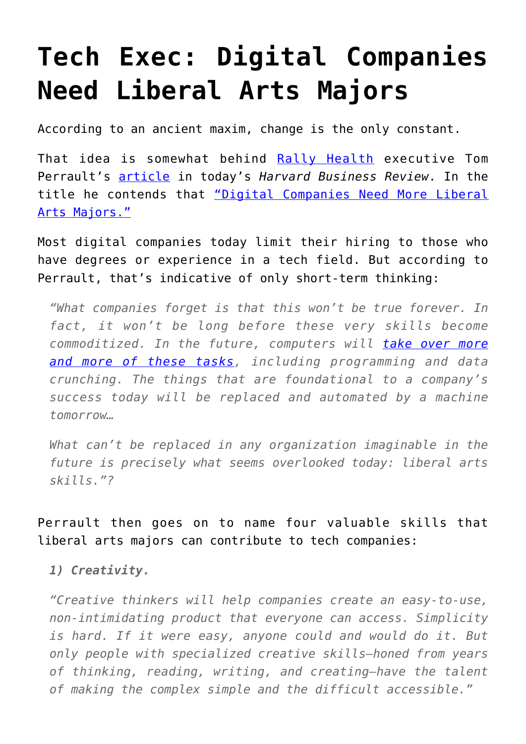## **[Tech Exec: Digital Companies](https://intellectualtakeout.org/2016/01/tech-exec-digital-companies-need-liberal-arts-majors/) [Need Liberal Arts Majors](https://intellectualtakeout.org/2016/01/tech-exec-digital-companies-need-liberal-arts-majors/)**

According to an ancient maxim, change is the only constant.

That idea is somewhat behind [Rally Health](https://www.rallyhealth.com/) executive Tom Perrault's [article](https://hbr.org/2016/01/digital-companies-need-more-liberal-arts-majors) in today's *Harvard Business Review*. In the title he contends that ["Digital Companies Need More Liberal](https://hbr.org/2016/01/digital-companies-need-more-liberal-arts-majors) [Arts Majors."](https://hbr.org/2016/01/digital-companies-need-more-liberal-arts-majors)

Most digital companies today limit their hiring to those who have degrees or experience in a tech field. But according to Perrault, that's indicative of only short-term thinking:

*"What companies forget is that this won't be true forever. In fact, it won't be long before these very skills become commoditized. In the future, computers will [take over more](https://hbr.org/2015/12/how-many-of-your-daily-tasks-could-be-automated) [and more of these tasks](https://hbr.org/2015/12/how-many-of-your-daily-tasks-could-be-automated), including programming and data crunching. The things that are foundational to a company's success today will be replaced and automated by a machine tomorrow…*

*What can't be replaced in any organization imaginable in the future is precisely what seems overlooked today: liberal arts skills."?*

Perrault then goes on to name four valuable skills that liberal arts majors can contribute to tech companies:

*1) Creativity.*

*"Creative thinkers will help companies create an easy-to-use, non-intimidating product that everyone can access. Simplicity is hard. If it were easy, anyone could and would do it. But only people with specialized creative skills—honed from years of thinking, reading, writing, and creating—have the talent of making the complex simple and the difficult accessible."*